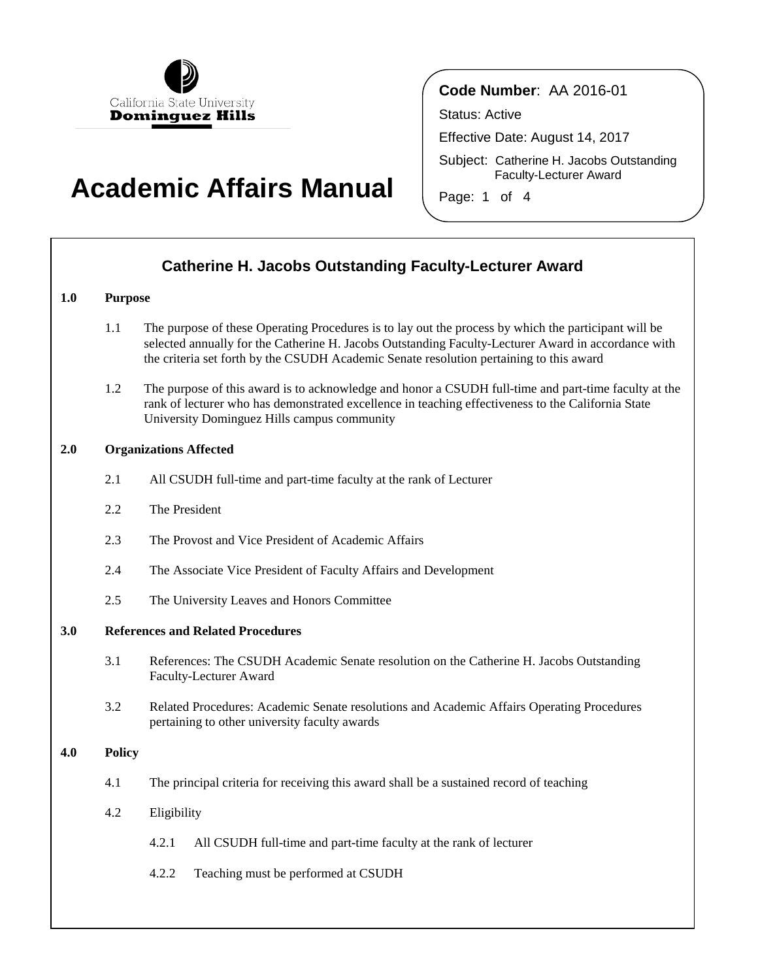

## **Academic Affairs Manual**

### **Code Number**: AA 2016-01

Status: Active

Effective Date: August 14, 2017

Subject: Catherine H. Jacobs Outstanding Faculty-Lecturer Award

Page: 1 of 4

| <b>Catherine H. Jacobs Outstanding Faculty-Lecturer Award</b> |               |                                                                                                                                                                                                                                                                                                        |  |
|---------------------------------------------------------------|---------------|--------------------------------------------------------------------------------------------------------------------------------------------------------------------------------------------------------------------------------------------------------------------------------------------------------|--|
| 1.0                                                           |               | <b>Purpose</b>                                                                                                                                                                                                                                                                                         |  |
|                                                               | 1.1           | The purpose of these Operating Procedures is to lay out the process by which the participant will be<br>selected annually for the Catherine H. Jacobs Outstanding Faculty-Lecturer Award in accordance with<br>the criteria set forth by the CSUDH Academic Senate resolution pertaining to this award |  |
|                                                               | 1.2           | The purpose of this award is to acknowledge and honor a CSUDH full-time and part-time faculty at the<br>rank of lecturer who has demonstrated excellence in teaching effectiveness to the California State<br>University Dominguez Hills campus community                                              |  |
| 2.0                                                           |               | <b>Organizations Affected</b>                                                                                                                                                                                                                                                                          |  |
|                                                               | 2.1           | All CSUDH full-time and part-time faculty at the rank of Lecturer                                                                                                                                                                                                                                      |  |
|                                                               | 2.2           | The President                                                                                                                                                                                                                                                                                          |  |
|                                                               | 2.3           | The Provost and Vice President of Academic Affairs                                                                                                                                                                                                                                                     |  |
|                                                               | 2.4           | The Associate Vice President of Faculty Affairs and Development                                                                                                                                                                                                                                        |  |
|                                                               | 2.5           | The University Leaves and Honors Committee                                                                                                                                                                                                                                                             |  |
| 3.0                                                           |               | <b>References and Related Procedures</b>                                                                                                                                                                                                                                                               |  |
|                                                               | 3.1           | References: The CSUDH Academic Senate resolution on the Catherine H. Jacobs Outstanding<br>Faculty-Lecturer Award                                                                                                                                                                                      |  |
|                                                               | 3.2           | Related Procedures: Academic Senate resolutions and Academic Affairs Operating Procedures<br>pertaining to other university faculty awards                                                                                                                                                             |  |
| 4.0                                                           | <b>Policy</b> |                                                                                                                                                                                                                                                                                                        |  |
|                                                               | 4.1           | The principal criteria for receiving this award shall be a sustained record of teaching                                                                                                                                                                                                                |  |
|                                                               | 4.2           | Eligibility                                                                                                                                                                                                                                                                                            |  |
|                                                               |               | 4.2.1<br>All CSUDH full-time and part-time faculty at the rank of lecturer                                                                                                                                                                                                                             |  |
|                                                               |               | Teaching must be performed at CSUDH<br>4.2.2                                                                                                                                                                                                                                                           |  |
|                                                               |               |                                                                                                                                                                                                                                                                                                        |  |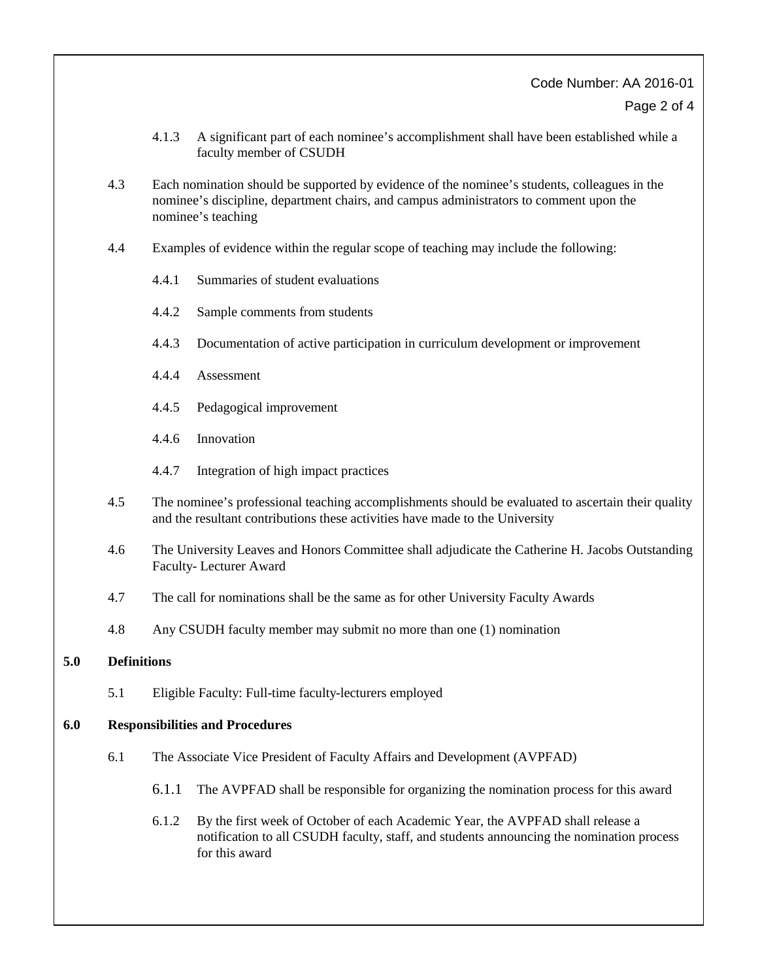### Code Number: AA 2016-01

Page 2 of 4

- 4.1.3 A significant part of each nominee's accomplishment shall have been established while a faculty member of CSUDH
- 4.3 Each nomination should be supported by evidence of the nominee's students, colleagues in the nominee's discipline, department chairs, and campus administrators to comment upon the nominee's teaching
- 4.4 Examples of evidence within the regular scope of teaching may include the following:
	- 4.4.1 Summaries of student evaluations
	- 4.4.2 Sample comments from students
	- 4.4.3 Documentation of active participation in curriculum development or improvement
	- 4.4.4 Assessment
	- 4.4.5 Pedagogical improvement
	- 4.4.6 Innovation
	- 4.4.7 Integration of high impact practices
- 4.5 The nominee's professional teaching accomplishments should be evaluated to ascertain their quality and the resultant contributions these activities have made to the University
- 4.6 The University Leaves and Honors Committee shall adjudicate the Catherine H. Jacobs Outstanding Faculty- Lecturer Award
- 4.7 The call for nominations shall be the same as for other University Faculty Awards
- 4.8 Any CSUDH faculty member may submit no more than one (1) nomination

#### **5.0 Definitions**

5.1 Eligible Faculty: Full-time faculty-lecturers employed

#### **6.0 Responsibilities and Procedures**

- 6.1 The Associate Vice President of Faculty Affairs and Development (AVPFAD)
	- 6.1.1 The AVPFAD shall be responsible for organizing the nomination process for this award
	- 6.1.2 By the first week of October of each Academic Year, the AVPFAD shall release a notification to all CSUDH faculty, staff, and students announcing the nomination process for this award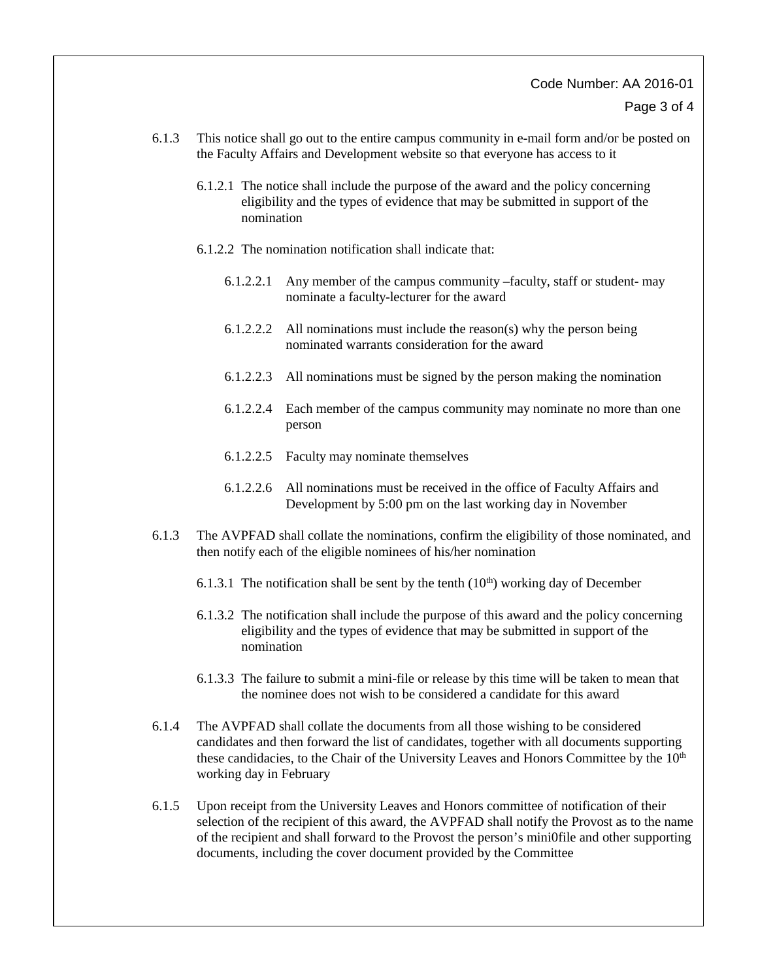# Code Number: AA 2016-01

- Page 3 of 4
- 6.1.3 This notice shall go out to the entire campus community in e-mail form and/or be posted on the Faculty Affairs and Development website so that everyone has access to it
	- 6.1.2.1 The notice shall include the purpose of the award and the policy concerning eligibility and the types of evidence that may be submitted in support of the nomination
	- 6.1.2.2 The nomination notification shall indicate that:
		- 6.1.2.2.1 Any member of the campus community –faculty, staff or student- may nominate a faculty-lecturer for the award
		- 6.1.2.2.2 All nominations must include the reason(s) why the person being nominated warrants consideration for the award
		- 6.1.2.2.3 All nominations must be signed by the person making the nomination
		- 6.1.2.2.4 Each member of the campus community may nominate no more than one person
		- 6.1.2.2.5 Faculty may nominate themselves
		- 6.1.2.2.6 All nominations must be received in the office of Faculty Affairs and Development by 5:00 pm on the last working day in November
- 6.1.3 The AVPFAD shall collate the nominations, confirm the eligibility of those nominated, and then notify each of the eligible nominees of his/her nomination
	- 6.1.3.1 The notification shall be sent by the tenth  $(10<sup>th</sup>)$  working day of December
	- 6.1.3.2 The notification shall include the purpose of this award and the policy concerning eligibility and the types of evidence that may be submitted in support of the nomination
	- 6.1.3.3 The failure to submit a mini-file or release by this time will be taken to mean that the nominee does not wish to be considered a candidate for this award
- 6.1.4 The AVPFAD shall collate the documents from all those wishing to be considered candidates and then forward the list of candidates, together with all documents supporting these candidacies, to the Chair of the University Leaves and Honors Committee by the  $10<sup>th</sup>$ working day in February
- 6.1.5 Upon receipt from the University Leaves and Honors committee of notification of their selection of the recipient of this award, the AVPFAD shall notify the Provost as to the name of the recipient and shall forward to the Provost the person's mini0file and other supporting documents, including the cover document provided by the Committee